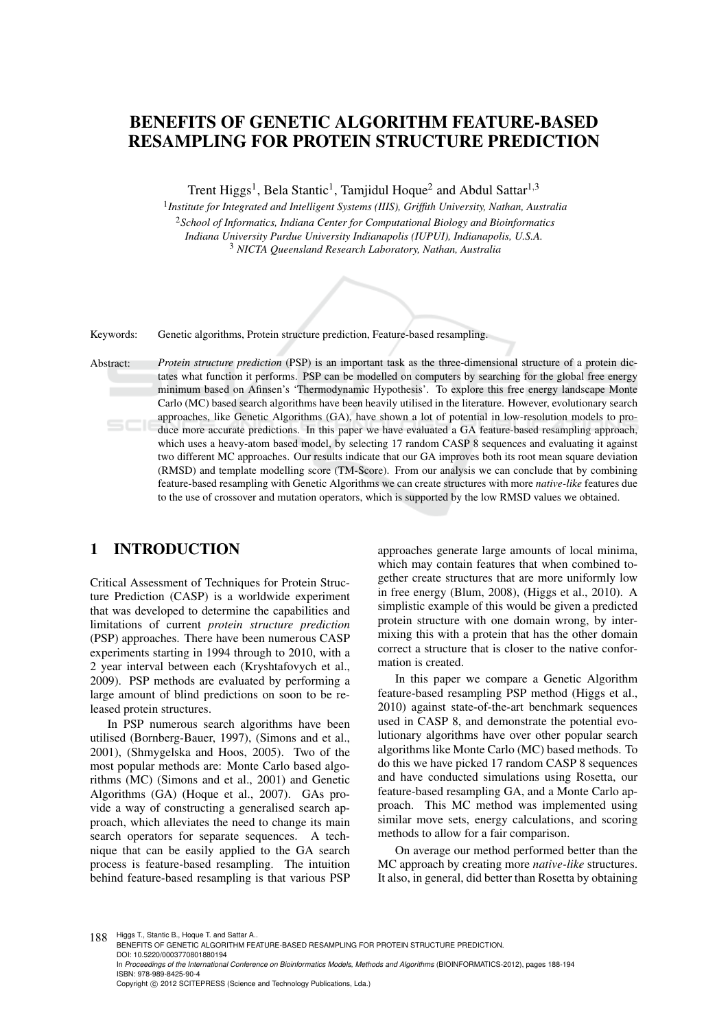# BENEFITS OF GENETIC ALGORITHM FEATURE-BASED RESAMPLING FOR PROTEIN STRUCTURE PREDICTION

Trent Higgs<sup>1</sup>, Bela Stantic<sup>1</sup>, Tamjidul Hoque<sup>2</sup> and Abdul Sattar<sup>1,3</sup>

 *Institute for Integrated and Intelligent Systems (IIIS), Griffith University, Nathan, Australia School of Informatics, Indiana Center for Computational Biology and Bioinformatics Indiana University Purdue University Indianapolis (IUPUI), Indianapolis, U.S.A. NICTA Queensland Research Laboratory, Nathan, Australia*

Keywords: Genetic algorithms, Protein structure prediction, Feature-based resampling.

Abstract: *Protein structure prediction* (PSP) is an important task as the three-dimensional structure of a protein dictates what function it performs. PSP can be modelled on computers by searching for the global free energy minimum based on Afinsen's 'Thermodynamic Hypothesis'. To explore this free energy landscape Monte Carlo (MC) based search algorithms have been heavily utilised in the literature. However, evolutionary search approaches, like Genetic Algorithms (GA), have shown a lot of potential in low-resolution models to produce more accurate predictions. In this paper we have evaluated a GA feature-based resampling approach, which uses a heavy-atom based model, by selecting 17 random CASP 8 sequences and evaluating it against two different MC approaches. Our results indicate that our GA improves both its root mean square deviation (RMSD) and template modelling score (TM-Score). From our analysis we can conclude that by combining feature-based resampling with Genetic Algorithms we can create structures with more *native-like* features due to the use of crossover and mutation operators, which is supported by the low RMSD values we obtained.

### 1 INTRODUCTION

Critical Assessment of Techniques for Protein Structure Prediction (CASP) is a worldwide experiment that was developed to determine the capabilities and limitations of current *protein structure prediction* (PSP) approaches. There have been numerous CASP experiments starting in 1994 through to 2010, with a 2 year interval between each (Kryshtafovych et al., 2009). PSP methods are evaluated by performing a large amount of blind predictions on soon to be released protein structures.

In PSP numerous search algorithms have been utilised (Bornberg-Bauer, 1997), (Simons and et al., 2001), (Shmygelska and Hoos, 2005). Two of the most popular methods are: Monte Carlo based algorithms (MC) (Simons and et al., 2001) and Genetic Algorithms (GA) (Hoque et al., 2007). GAs provide a way of constructing a generalised search approach, which alleviates the need to change its main search operators for separate sequences. A technique that can be easily applied to the GA search process is feature-based resampling. The intuition behind feature-based resampling is that various PSP

approaches generate large amounts of local minima, which may contain features that when combined together create structures that are more uniformly low in free energy (Blum, 2008), (Higgs et al., 2010). A simplistic example of this would be given a predicted protein structure with one domain wrong, by intermixing this with a protein that has the other domain correct a structure that is closer to the native conformation is created.

In this paper we compare a Genetic Algorithm feature-based resampling PSP method (Higgs et al., 2010) against state-of-the-art benchmark sequences used in CASP 8, and demonstrate the potential evolutionary algorithms have over other popular search algorithms like Monte Carlo (MC) based methods. To do this we have picked 17 random CASP 8 sequences and have conducted simulations using Rosetta, our feature-based resampling GA, and a Monte Carlo approach. This MC method was implemented using similar move sets, energy calculations, and scoring methods to allow for a fair comparison.

On average our method performed better than the MC approach by creating more *native-like* structures. It also, in general, did better than Rosetta by obtaining

188 Higgs T., Stantic B., Hoque T. and Sattar A.. BENEFITS OF GENETIC ALGORITHM FEATURE-BASED RESAMPLING FOR PROTEIN STRUCTURE PREDICTION. DOI: 10.5220/0003770801880194 In Proceedings of the International Conference on Bioinformatics Models, Methods and Algorithms (BIOINFORMATICS-2012), pages 188-194 ISBN: 978-989-8425-90-4 Copyright © 2012 SCITEPRESS (Science and Technology Publications, Lda.)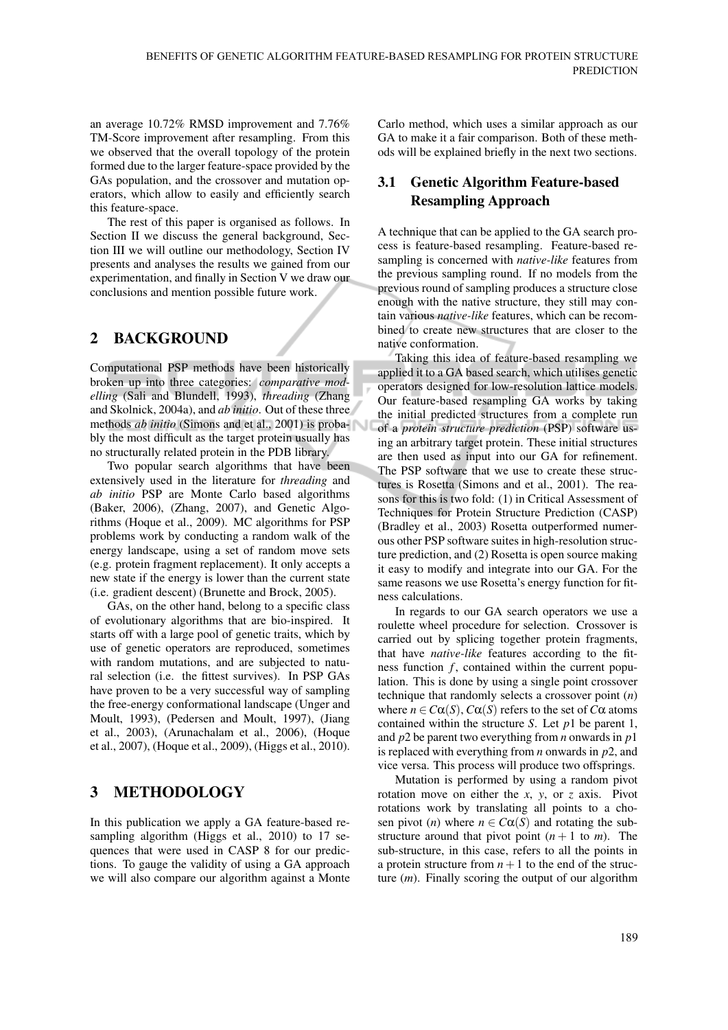an average 10.72% RMSD improvement and 7.76% TM-Score improvement after resampling. From this we observed that the overall topology of the protein formed due to the larger feature-space provided by the GAs population, and the crossover and mutation operators, which allow to easily and efficiently search this feature-space.

The rest of this paper is organised as follows. In Section II we discuss the general background, Section III we will outline our methodology, Section IV presents and analyses the results we gained from our experimentation, and finally in Section V we draw our conclusions and mention possible future work.

### 2 BACKGROUND

Computational PSP methods have been historically broken up into three categories: *comparative modelling* (Sali and Blundell, 1993), *threading* (Zhang and Skolnick, 2004a), and *ab initio*. Out of these three methods *ab initio* (Simons and et al., 2001) is probably the most difficult as the target protein usually has no structurally related protein in the PDB library.

Two popular search algorithms that have been extensively used in the literature for *threading* and *ab initio* PSP are Monte Carlo based algorithms (Baker, 2006), (Zhang, 2007), and Genetic Algorithms (Hoque et al., 2009). MC algorithms for PSP problems work by conducting a random walk of the energy landscape, using a set of random move sets (e.g. protein fragment replacement). It only accepts a new state if the energy is lower than the current state (i.e. gradient descent) (Brunette and Brock, 2005).

GAs, on the other hand, belong to a specific class of evolutionary algorithms that are bio-inspired. It starts off with a large pool of genetic traits, which by use of genetic operators are reproduced, sometimes with random mutations, and are subjected to natural selection (i.e. the fittest survives). In PSP GAs have proven to be a very successful way of sampling the free-energy conformational landscape (Unger and Moult, 1993), (Pedersen and Moult, 1997), (Jiang et al., 2003), (Arunachalam et al., 2006), (Hoque et al., 2007), (Hoque et al., 2009), (Higgs et al., 2010).

## 3 METHODOLOGY

In this publication we apply a GA feature-based resampling algorithm (Higgs et al., 2010) to 17 sequences that were used in CASP 8 for our predictions. To gauge the validity of using a GA approach we will also compare our algorithm against a Monte Carlo method, which uses a similar approach as our GA to make it a fair comparison. Both of these methods will be explained briefly in the next two sections.

### 3.1 Genetic Algorithm Feature-based Resampling Approach

A technique that can be applied to the GA search process is feature-based resampling. Feature-based resampling is concerned with *native-like* features from the previous sampling round. If no models from the previous round of sampling produces a structure close enough with the native structure, they still may contain various *native-like* features, which can be recombined to create new structures that are closer to the native conformation.

Taking this idea of feature-based resampling we applied it to a GA based search, which utilises genetic operators designed for low-resolution lattice models. Our feature-based resampling GA works by taking the initial predicted structures from a complete run of a *protein structure prediction* (PSP) software using an arbitrary target protein. These initial structures are then used as input into our GA for refinement. The PSP software that we use to create these structures is Rosetta (Simons and et al., 2001). The reasons for this is two fold: (1) in Critical Assessment of Techniques for Protein Structure Prediction (CASP) (Bradley et al., 2003) Rosetta outperformed numerous other PSP software suites in high-resolution structure prediction, and (2) Rosetta is open source making it easy to modify and integrate into our GA. For the same reasons we use Rosetta's energy function for fitness calculations.

In regards to our GA search operators we use a roulette wheel procedure for selection. Crossover is carried out by splicing together protein fragments, that have *native-like* features according to the fitness function  $f$ , contained within the current population. This is done by using a single point crossover technique that randomly selects a crossover point (*n*) where  $n \in C\alpha(S)$ ,  $C\alpha(S)$  refers to the set of  $C\alpha$  atoms contained within the structure *S*. Let *p*1 be parent 1, and *p*2 be parent two everything from *n* onwards in *p*1 is replaced with everything from *n* onwards in *p*2, and vice versa. This process will produce two offsprings.

Mutation is performed by using a random pivot rotation move on either the *x*, *y*, or *z* axis. Pivot rotations work by translating all points to a chosen pivot (*n*) where  $n \in C\alpha(S)$  and rotating the substructure around that pivot point  $(n + 1)$  to *m*). The sub-structure, in this case, refers to all the points in a protein structure from  $n+1$  to the end of the structure (*m*). Finally scoring the output of our algorithm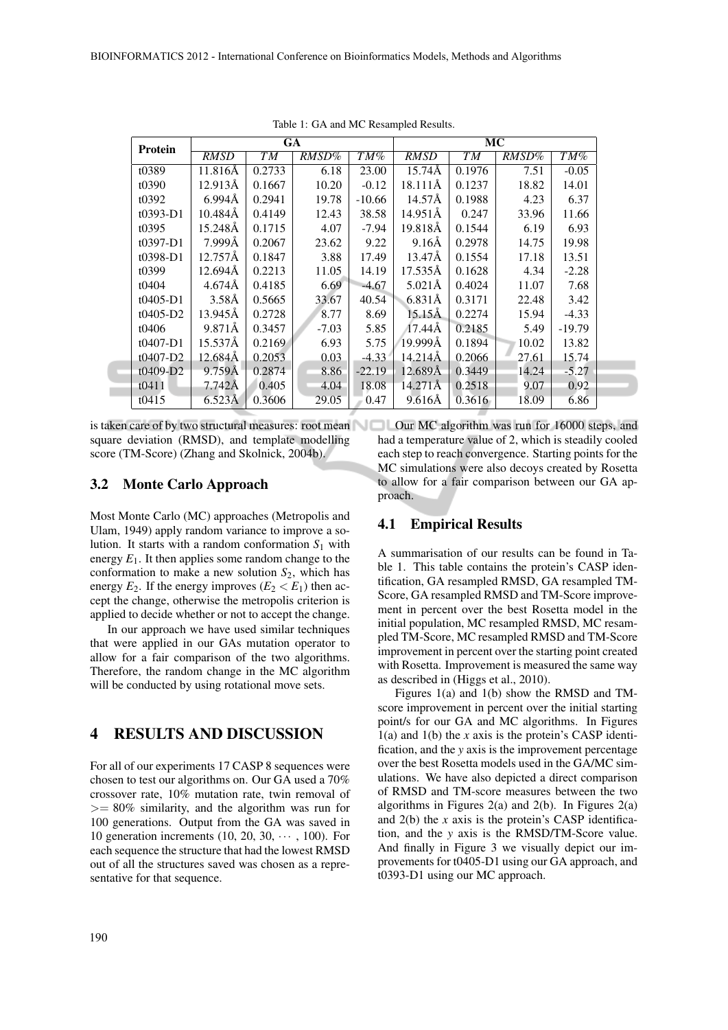| Protein      | GA                 |        |         |          | MC                 |        |       |          |
|--------------|--------------------|--------|---------|----------|--------------------|--------|-------|----------|
|              | <b>RMSD</b>        | T M    | RMSD%   | TM%      | <b>RMSD</b>        | T M    | RMSD% | TM%      |
| t0389        | 11.816Å            | 0.2733 | 6.18    | 23.00    | $15.74\AA$         | 0.1976 | 7.51  | $-0.05$  |
| t0390        | 12.913Å            | 0.1667 | 10.20   | $-0.12$  | 18.111Å            | 0.1237 | 18.82 | 14.01    |
| t0392        | $6.994\AA$         | 0.2941 | 19.78   | $-10.66$ | 14.57Å             | 0.1988 | 4.23  | 6.37     |
| $t0393-D1$   | $10.484\AA$        | 0.4149 | 12.43   | 38.58    | 14.951Å            | 0.247  | 33.96 | 11.66    |
| t0395        | 15.248Å            | 0.1715 | 4.07    | $-7.94$  | 19.818Å            | 0.1544 | 6.19  | 6.93     |
| $t0397 - D1$ | 7.999Å             | 0.2067 | 23.62   | 9.22     | $9.16\text{\AA}$   | 0.2978 | 14.75 | 19.98    |
| $t0398-D1$   | 12.757Å            | 0.1847 | 3.88    | 17.49    | 13.47Å             | 0.1554 | 17.18 | 13.51    |
| t0399        | $12.694\text{\AA}$ | 0.2213 | 11.05   | 14.19    | $17.535\text{\AA}$ | 0.1628 | 4.34  | $-2.28$  |
| t0404        | 4.674Å             | 0.4185 | 6.69    | $-4.67$  | $5.021\text{\AA}$  | 0.4024 | 11.07 | 7.68     |
| $t0405-D1$   | $3.58\text{\AA}$   | 0.5665 | 33.67   | 40.54    | 6.831Å             | 0.3171 | 22.48 | 3.42     |
| $t0405-D2$   | 13.945Å            | 0.2728 | 8.77    | 8.69     | $15.15\text{\AA}$  | 0.2274 | 15.94 | $-4.33$  |
| t0406        | 9.871Å             | 0.3457 | $-7.03$ | 5.85     | 17.44Å             | 0.2185 | 5.49  | $-19.79$ |
| $t0407-D1$   | 15.537Å            | 0.2169 | 6.93    | 5.75     | 19.999Å            | 0.1894 | 10.02 | 13.82    |
| $t0407 - D2$ | 12.684Å            | 0.2053 | 0.03    | $-4.33$  | $14.214\text{\AA}$ | 0.2066 | 27.61 | 15.74    |
| $t0409-D2$   | $9.759\text{\AA}$  | 0.2874 | 8.86    | $-22.19$ | 12.689Å            | 0.3449 | 14.24 | $-5.27$  |
| t0411        | 7.742Å             | 0.405  | 4.04    | 18.08    | 14.271Å            | 0.2518 | 9.07  | 0.92     |
| t0415        | 6.523Å             | 0.3606 | 29.05   | 0.47     | $9.616\text{\AA}$  | 0.3616 | 18.09 | 6.86     |

Table 1: GA and MC Resampled Results.

is taken care of by two structural measures: root mean Our MC algorithm was run for 16000 steps, and square deviation (RMSD), and template modelling score (TM-Score) (Zhang and Skolnick, 2004b).

#### 3.2 Monte Carlo Approach

Most Monte Carlo (MC) approaches (Metropolis and Ulam, 1949) apply random variance to improve a solution. It starts with a random conformation  $S_1$  with energy  $E_1$ . It then applies some random change to the conformation to make a new solution  $S_2$ , which has energy  $E_2$ . If the energy improves  $(E_2 < E_1)$  then accept the change, otherwise the metropolis criterion is applied to decide whether or not to accept the change.

In our approach we have used similar techniques that were applied in our GAs mutation operator to allow for a fair comparison of the two algorithms. Therefore, the random change in the MC algorithm will be conducted by using rotational move sets.

### 4 RESULTS AND DISCUSSION

For all of our experiments 17 CASP 8 sequences were chosen to test our algorithms on. Our GA used a 70% crossover rate, 10% mutation rate, twin removal of  $>= 80\%$  similarity, and the algorithm was run for 100 generations. Output from the GA was saved in 10 generation increments (10, 20, 30,  $\cdots$ , 100). For each sequence the structure that had the lowest RMSD out of all the structures saved was chosen as a representative for that sequence.

had a temperature value of 2, which is steadily cooled each step to reach convergence. Starting points for the MC simulations were also decoys created by Rosetta to allow for a fair comparison between our GA approach.

#### 4.1 Empirical Results

A summarisation of our results can be found in Table 1. This table contains the protein's CASP identification, GA resampled RMSD, GA resampled TM-Score, GA resampled RMSD and TM-Score improvement in percent over the best Rosetta model in the initial population, MC resampled RMSD, MC resampled TM-Score, MC resampled RMSD and TM-Score improvement in percent over the starting point created with Rosetta. Improvement is measured the same way as described in (Higgs et al., 2010).

Figures 1(a) and 1(b) show the RMSD and TMscore improvement in percent over the initial starting point/s for our GA and MC algorithms. In Figures 1(a) and 1(b) the *x* axis is the protein's CASP identification, and the *y* axis is the improvement percentage over the best Rosetta models used in the GA/MC simulations. We have also depicted a direct comparison of RMSD and TM-score measures between the two algorithms in Figures 2(a) and 2(b). In Figures 2(a) and 2(b) the *x* axis is the protein's CASP identification, and the *y* axis is the RMSD/TM-Score value. And finally in Figure 3 we visually depict our improvements for t0405-D1 using our GA approach, and t0393-D1 using our MC approach.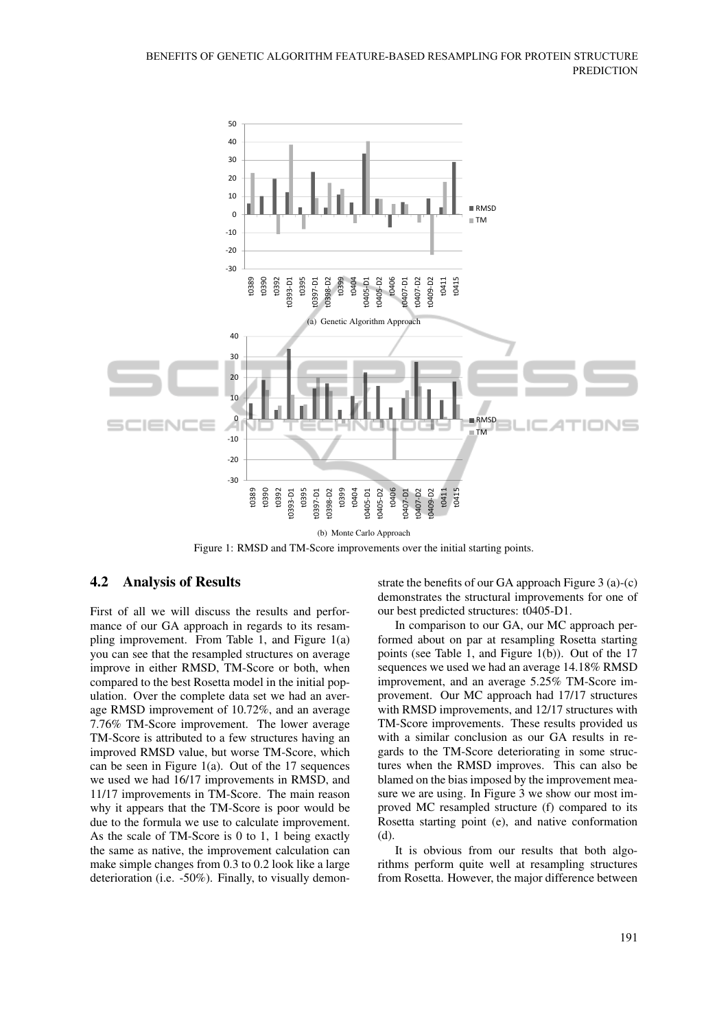

Figure 1: RMSD and TM-Score improvements over the initial starting points.

### 4.2 Analysis of Results

First of all we will discuss the results and performance of our GA approach in regards to its resampling improvement. From Table 1, and Figure 1(a) you can see that the resampled structures on average improve in either RMSD, TM-Score or both, when compared to the best Rosetta model in the initial population. Over the complete data set we had an average RMSD improvement of 10.72%, and an average 7.76% TM-Score improvement. The lower average TM-Score is attributed to a few structures having an improved RMSD value, but worse TM-Score, which can be seen in Figure 1(a). Out of the 17 sequences we used we had 16/17 improvements in RMSD, and 11/17 improvements in TM-Score. The main reason why it appears that the TM-Score is poor would be due to the formula we use to calculate improvement. As the scale of TM-Score is 0 to 1, 1 being exactly the same as native, the improvement calculation can make simple changes from 0.3 to 0.2 look like a large deterioration (i.e. -50%). Finally, to visually demonstrate the benefits of our GA approach Figure 3 (a)-(c) demonstrates the structural improvements for one of our best predicted structures: t0405-D1.

In comparison to our GA, our MC approach performed about on par at resampling Rosetta starting points (see Table 1, and Figure 1(b)). Out of the 17 sequences we used we had an average 14.18% RMSD improvement, and an average 5.25% TM-Score improvement. Our MC approach had 17/17 structures with RMSD improvements, and 12/17 structures with TM-Score improvements. These results provided us with a similar conclusion as our GA results in regards to the TM-Score deteriorating in some structures when the RMSD improves. This can also be blamed on the bias imposed by the improvement measure we are using. In Figure 3 we show our most improved MC resampled structure (f) compared to its Rosetta starting point (e), and native conformation  $(d)$ 

It is obvious from our results that both algorithms perform quite well at resampling structures from Rosetta. However, the major difference between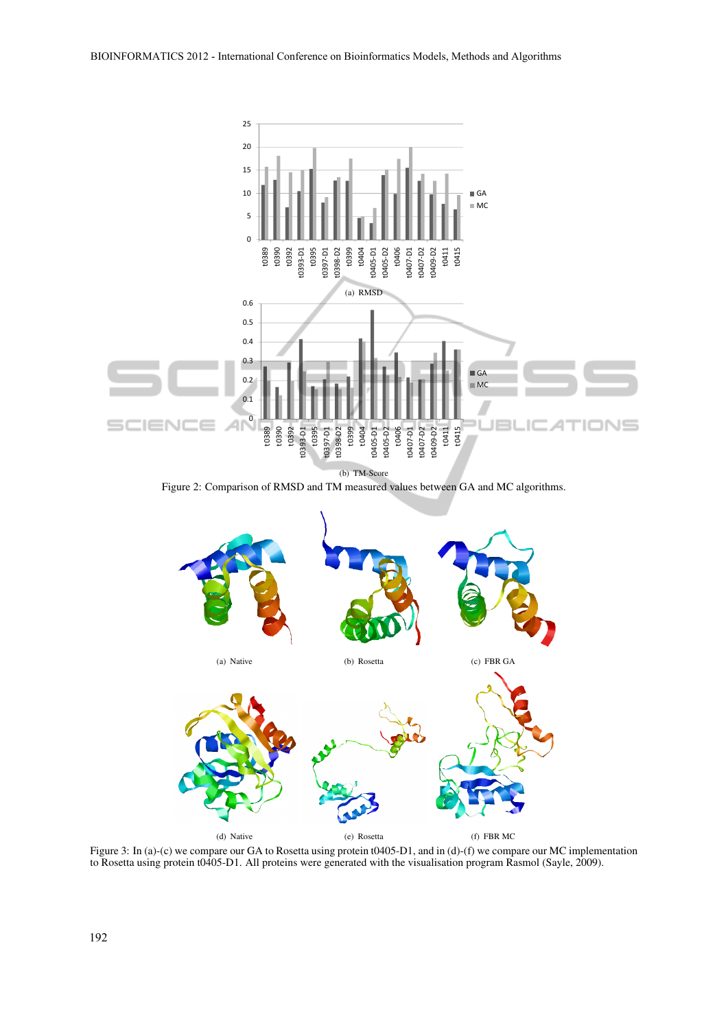

Figure 2: Comparison of RMSD and TM measured values between GA and MC algorithms.



Figure 3: In (a)-(c) we compare our GA to Rosetta using protein t0405-D1, and in (d)-(f) we compare our MC implementation to Rosetta using protein t0405-D1. All proteins were generated with the visualisation program Rasmol (Sayle, 2009).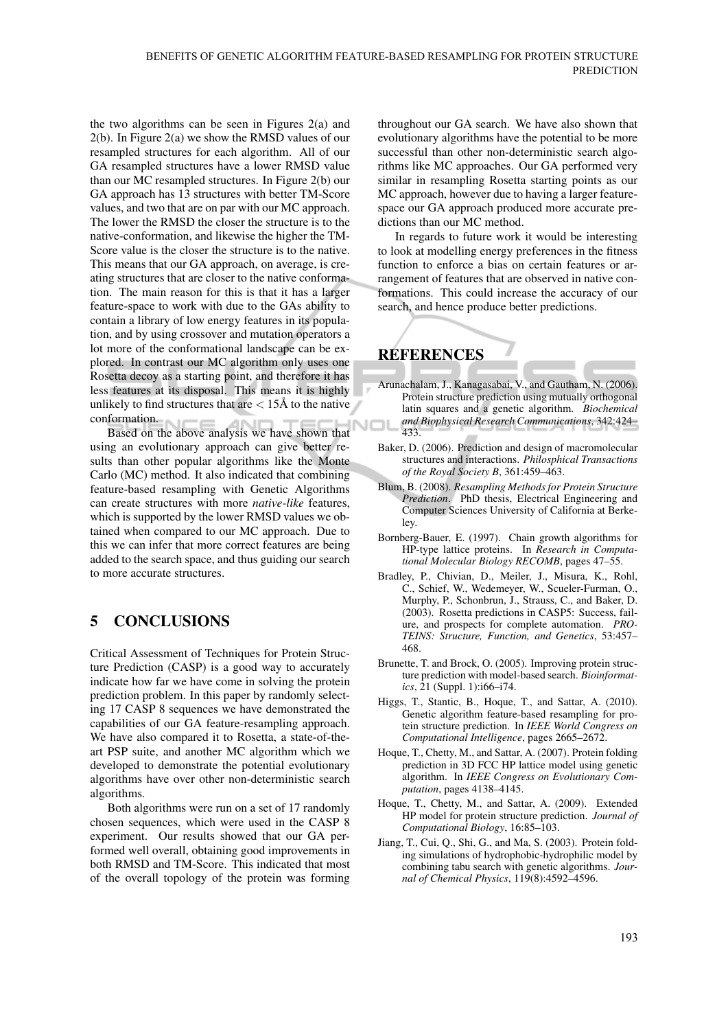the two algorithms can be seen in Figures 2(a) and 2(b). In Figure 2(a) we show the RMSD values of our resampled structures for each algorithm. All of our GA resampled structures have a lower RMSD value than our MC resampled structures. In Figure 2(b) our GA approach has 13 structures with better TM-Score values, and two that are on par with our MC approach. The lower the RMSD the closer the structure is to the native-conformation, and likewise the higher the TM-Score value is the closer the structure is to the native. This means that our GA approach, on average, is creating structures that are closer to the native conformation. The main reason for this is that it has a larger feature-space to work with due to the GAs ability to contain a library of low energy features in its population, and by using crossover and mutation operators a lot more of the conformational landscape can be explored. In contrast our MC algorithm only uses one Rosetta decoy as a starting point, and therefore it has less features at its disposal. This means it is highly unlikely to find structures that are  $\lt$  15Å to the native conformation.

Based on the above analysis we have shown that using an evolutionary approach can give better results than other popular algorithms like the Monte Carlo (MC) method. It also indicated that combining feature-based resampling with Genetic Algorithms can create structures with more *native-like* features, which is supported by the lower RMSD values we obtained when compared to our MC approach. Due to this we can infer that more correct features are being added to the search space, and thus guiding our search to more accurate structures.

## 5 CONCLUSIONS

Critical Assessment of Techniques for Protein Structure Prediction (CASP) is a good way to accurately indicate how far we have come in solving the protein prediction problem. In this paper by randomly selecting 17 CASP 8 sequences we have demonstrated the capabilities of our GA feature-resampling approach. We have also compared it to Rosetta, a state-of-theart PSP suite, and another MC algorithm which we developed to demonstrate the potential evolutionary algorithms have over other non-deterministic search algorithms.

Both algorithms were run on a set of 17 randomly chosen sequences, which were used in the CASP 8 experiment. Our results showed that our GA performed well overall, obtaining good improvements in both RMSD and TM-Score. This indicated that most of the overall topology of the protein was forming

throughout our GA search. We have also shown that evolutionary algorithms have the potential to be more successful than other non-deterministic search algorithms like MC approaches. Our GA performed very similar in resampling Rosetta starting points as our MC approach, however due to having a larger featurespace our GA approach produced more accurate predictions than our MC method.

In regards to future work it would be interesting to look at modelling energy preferences in the fitness function to enforce a bias on certain features or arrangement of features that are observed in native conformations. This could increase the accuracy of our search, and hence produce better predictions.

# **REFERENCES**

- Arunachalam, J., Kanagasabai, V., and Gautham, N. (2006). Protein structure prediction using mutually orthogonal latin squares and a genetic algorithm. *Biochemical and Biophysical Research Communications*, 342:424– √⊟l 433.
	- Baker, D. (2006). Prediction and design of macromolecular structures and interactions. *Philosphical Transactions of the Royal Society B*, 361:459–463.
	- Blum, B. (2008). *Resampling Methods for Protein Structure Prediction*. PhD thesis, Electrical Engineering and Computer Sciences University of California at Berkeley.
	- Bornberg-Bauer, E. (1997). Chain growth algorithms for HP-type lattice proteins. In *Research in Computational Molecular Biology RECOMB*, pages 47–55.
	- Bradley, P., Chivian, D., Meiler, J., Misura, K., Rohl, C., Schief, W., Wedemeyer, W., Scueler-Furman, O., Murphy, P., Schonbrun, J., Strauss, C., and Baker, D. (2003). Rosetta predictions in CASP5: Success, failure, and prospects for complete automation. *PRO-TEINS: Structure, Function, and Genetics*, 53:457– 468.
	- Brunette, T. and Brock, O. (2005). Improving protein structure prediction with model-based search. *Bioinformatics*, 21 (Suppl. 1):i66–i74.
	- Higgs, T., Stantic, B., Hoque, T., and Sattar, A. (2010). Genetic algorithm feature-based resampling for protein structure prediction. In *IEEE World Congress on Computational Intelligence*, pages 2665–2672.
	- Hoque, T., Chetty, M., and Sattar, A. (2007). Protein folding prediction in 3D FCC HP lattice model using genetic algorithm. In *IEEE Congress on Evolutionary Computation*, pages 4138–4145.
	- Hoque, T., Chetty, M., and Sattar, A. (2009). Extended HP model for protein structure prediction. *Journal of Computational Biology*, 16:85–103.
	- Jiang, T., Cui, Q., Shi, G., and Ma, S. (2003). Protein folding simulations of hydrophobic-hydrophilic model by combining tabu search with genetic algorithms. *Journal of Chemical Physics*, 119(8):4592–4596.